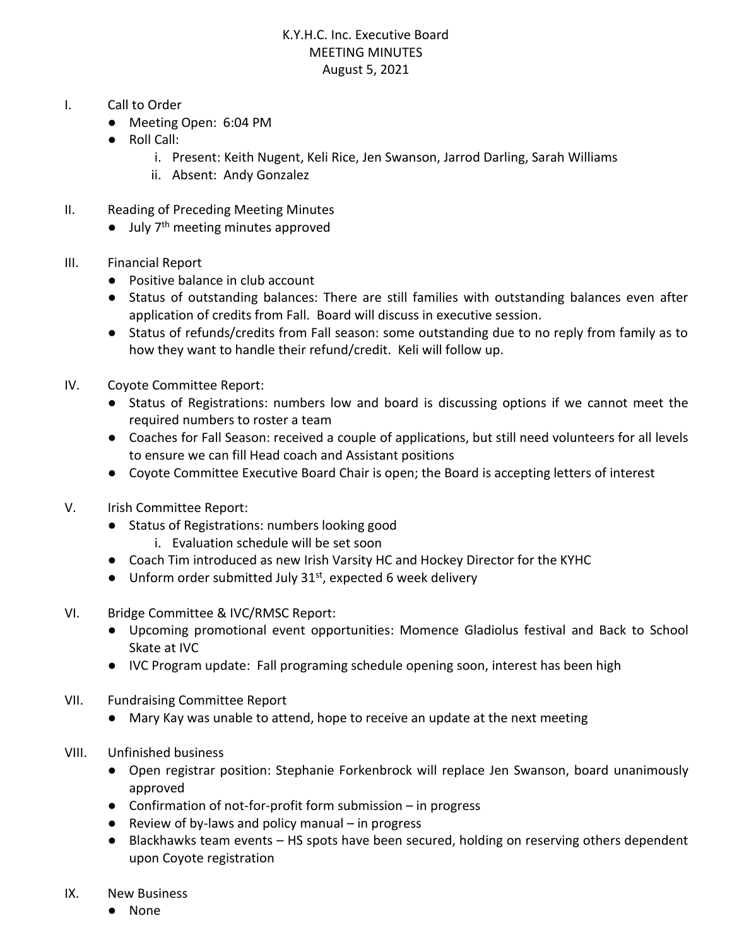## K.Y.H.C. Inc. Executive Board MEETING MINUTES August 5, 2021

- I. Call to Order
	- Meeting Open: 6:04 PM
	- Roll Call:
		- i. Present: Keith Nugent, Keli Rice, Jen Swanson, Jarrod Darling, Sarah Williams
		- ii. Absent: Andy Gonzalez
- II. Reading of Preceding Meeting Minutes
	- $\bullet$  July 7<sup>th</sup> meeting minutes approved
- III. Financial Report
	- Positive balance in club account
	- Status of outstanding balances: There are still families with outstanding balances even after application of credits from Fall. Board will discuss in executive session.
	- Status of refunds/credits from Fall season: some outstanding due to no reply from family as to how they want to handle their refund/credit. Keli will follow up.
- IV. Coyote Committee Report:
	- Status of Registrations: numbers low and board is discussing options if we cannot meet the required numbers to roster a team
	- Coaches for Fall Season: received a couple of applications, but still need volunteers for all levels to ensure we can fill Head coach and Assistant positions
	- Coyote Committee Executive Board Chair is open; the Board is accepting letters of interest
- V. Irish Committee Report:
	- Status of Registrations: numbers looking good
		- i. Evaluation schedule will be set soon
	- Coach Tim introduced as new Irish Varsity HC and Hockey Director for the KYHC
	- Unform order submitted July 31<sup>st</sup>, expected 6 week delivery
- VI. Bridge Committee & IVC/RMSC Report:
	- Upcoming promotional event opportunities: Momence Gladiolus festival and Back to School Skate at IVC
	- IVC Program update: Fall programing schedule opening soon, interest has been high
- VII. Fundraising Committee Report
	- Mary Kay was unable to attend, hope to receive an update at the next meeting
- VIII. Unfinished business
	- Open registrar position: Stephanie Forkenbrock will replace Jen Swanson, board unanimously approved
	- Confirmation of not-for-profit form submission in progress
	- $\bullet$  Review of by-laws and policy manual in progress
	- Blackhawks team events HS spots have been secured, holding on reserving others dependent upon Coyote registration
- IX. New Business
	- None